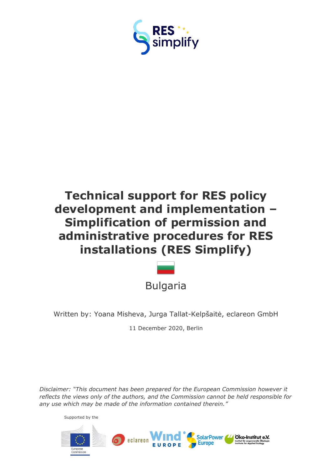



Written by: Yoana Misheva, Jurga Tallat-Kelpšaitė, eclareon GmbH

11 December 2020, Berlin

*Disclaimer: "This document has been prepared for the European Commission however it reflects the views only of the authors, and the Commission cannot be held responsible for any use which may be made of the information contained therein."*

Supported by the

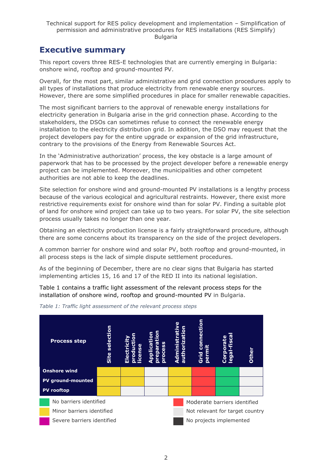## <span id="page-1-0"></span>**Executive summary**

This report covers three RES-E technologies that are currently emerging in Bulgaria: onshore wind, rooftop and ground-mounted PV.

Overall, for the most part, similar administrative and grid connection procedures apply to all types of installations that produce electricity from renewable energy sources. However, there are some simplified procedures in place for smaller renewable capacities.

The most significant barriers to the approval of renewable energy installations for electricity generation in Bulgaria arise in the grid connection phase. According to the stakeholders, the DSOs can sometimes refuse to connect the renewable energy installation to the electricity distribution grid. In addition, the DSO may request that the project developers pay for the entire upgrade or expansion of the grid infrastructure, contrary to the provisions of the Energy from Renewable Sources Act.

In the 'Administrative authorization' process, the key obstacle is a large amount of paperwork that has to be processed by the project developer before a renewable energy project can be implemented. Moreover, the municipalities and other competent authorities are not able to keep the deadlines.

Site selection for onshore wind and ground-mounted PV installations is a lengthy process because of the various ecological and agricultural restraints. However, there exist more restrictive requirements exist for onshore wind than for solar PV. Finding a suitable plot of land for onshore wind project can take up to two years. For solar PV, the site selection process usually takes no longer than one year.

Obtaining an electricity production license is a fairly straightforward procedure, although there are some concerns about its transparency on the side of the project developers.

A common barrier for onshore wind and solar PV, both rooftop and ground-mounted, in all process steps is the lack of simple dispute settlement procedures.

As of the beginning of December, there are no clear signs that Bulgaria has started implementing articles 15, 16 and 17 of the RED II into its national legislation.

Table 1 contains a traffic light assessment of the relevant process steps for the installation of onshore wind, rooftop and ground-mounted PV in Bulgaria.



*Table 1: Traffic light assessment of the relevant process steps*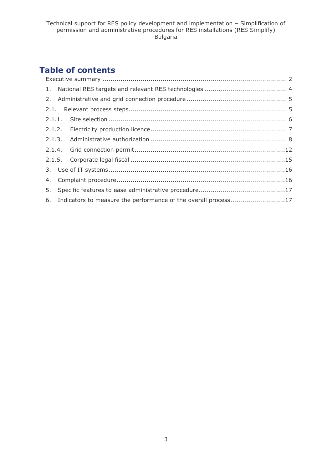## **Table of contents**

| 6. Indicators to measure the performance of the overall process17 |  |  |  |  |
|-------------------------------------------------------------------|--|--|--|--|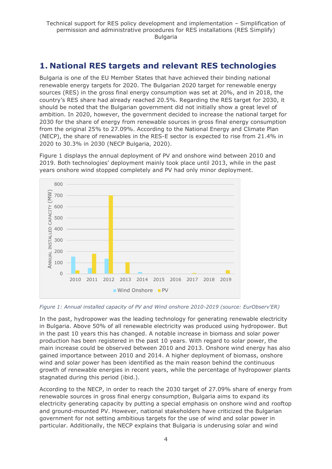## <span id="page-3-0"></span>**1. National RES targets and relevant RES technologies**

Bulgaria is one of the EU Member States that have achieved their binding national renewable energy targets for 2020. The Bulgarian 2020 target for renewable energy sources (RES) in the gross final energy consumption was set at 20%, and in 2018, the country's RES share had already reached 20.5%. Regarding the RES target for 2030, it should be noted that the Bulgarian government did not initially show a great level of ambition. In 2020, however, the government decided to increase the national target for 2030 for the share of energy from renewable sources in gross final energy consumption from the original 25% to 27.09%. According to the National Energy and Climate Plan (NECP), the share of renewables in the RES-E sector is expected to rise from 21.4% in 2020 to 30.3% in 2030 (NECP Bulgaria, 2020).

Figure 1 displays the annual deployment of PV and onshore wind between 2010 and 2019. Both technologies' deployment mainly took place until 2013, while in the past years onshore wind stopped completely and PV had only minor deployment.



#### *Figure 1: Annual installed capacity of PV and Wind onshore 2010-2019 (source: EurObserv'ER)*

In the past, hydropower was the leading technology for generating renewable electricity in Bulgaria. Above 50% of all renewable electricity was produced using hydropower. But in the past 10 years this has changed. A notable increase in biomass and solar power production has been registered in the past 10 years. With regard to solar power, the main increase could be observed between 2010 and 2013. Onshore wind energy has also gained importance between 2010 and 2014. A higher deployment of biomass, onshore wind and solar power has been identified as the main reason behind the continuous growth of renewable energies in recent years, while the percentage of hydropower plants stagnated during this period (ibid.).

According to the NECP, in order to reach the 2030 target of 27.09% share of energy from renewable sources in gross final energy consumption, Bulgaria aims to expand its electricity generating capacity by putting a special emphasis on onshore wind and rooftop and ground-mounted PV. However, national stakeholders have criticized the Bulgarian government for not setting ambitious targets for the use of wind and solar power in particular. Additionally, the NECP explains that Bulgaria is underusing solar and wind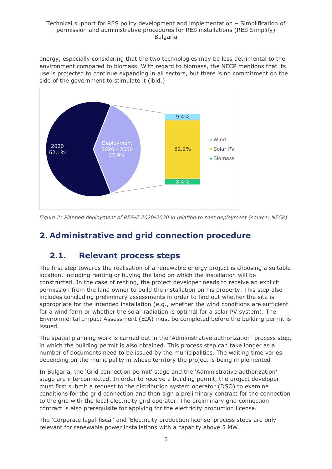energy, especially considering that the two technologies may be less detrimental to the environment compared to biomass. With regard to biomass, the NECP mentions that its use is projected to continue expanding in all sectors, but there is no commitment on the side of the government to stimulate it (ibid.)



*Figure 2: Planned deployment of RES-E 2020-2030 in relation to past deployment (source: NECP)*

## <span id="page-4-0"></span>**2. Administrative and grid connection procedure**

## <span id="page-4-1"></span>**2.1. Relevant process steps**

The first step towards the realisation of a renewable energy project is choosing a suitable location, including renting or buying the land on which the installation will be constructed. In the case of renting, the project developer needs to receive an explicit permission from the land owner to build the installation on his property. This step also includes concluding preliminary assessments in order to find out whether the site is appropriate for the intended installation (e.g., whether the wind conditions are sufficient for a wind farm or whether the solar radiation is optimal for a solar PV system). The Environmental Impact Assessment (EIA) must be completed before the building permit is issued.

The spatial planning work is carried out in the 'Administrative authorization' process step, in which the building permit is also obtained. This process step can take longer as a number of documents need to be issued by the municipalities. The waiting time varies depending on the municipality in whose territory the project is being implemented

In Bulgaria, the 'Grid connection permit' stage and the 'Administrative authorization' stage are interconnected. In order to receive a building permit, the project developer must first submit a request to the distribution system operator (DSO) to examine conditions for the grid connection and then sign a preliminary contract for the connection to the grid with the local electricity grid operator. The preliminary grid connection contract is also prerequisite for applying for the electricity production license.

The 'Corporate legal-fiscal' and 'Electricity production license' process steps are only relevant for renewable power installations with a capacity above 5 MW.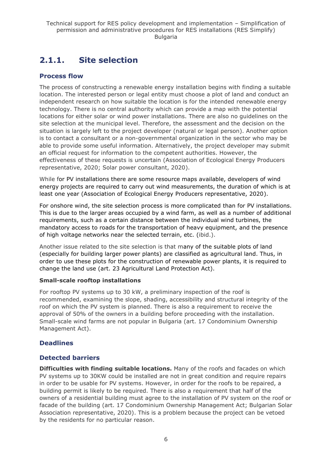## <span id="page-5-0"></span>**2.1.1. Site selection**

### **Process flow**

The process of constructing a renewable energy installation begins with finding a suitable location. The interested person or legal entity must choose a plot of land and conduct an independent research on how suitable the location is for the intended renewable energy technology. There is no central authority which can provide a map with the potential locations for either solar or wind power installations. There are also no guidelines on the site selection at the municipal level. Therefore, the assessment and the decision on the situation is largely left to the project developer (natural or legal person). Another option is to contact a consultant or a non-governmental organization in the sector who may be able to provide some useful information. Alternatively, the project developer may submit an official request for information to the competent authorities. However, the effectiveness of these requests is uncertain (Association of Ecological Energy Producers representative, 2020; Solar power consultant, 2020).

While for PV installations there are some resource maps available, developers of wind energy projects are required to carry out wind measurements, the duration of which is at least one year (Association of Ecological Energy Producers representative, 2020).

For onshore wind, the site selection process is more complicated than for PV installations. This is due to the larger areas occupied by a wind farm, as well as a number of additional requirements, such as a certain distance between the individual wind turbines, the mandatory access to roads for the transportation of heavy equipment, and the presence of high voltage networks near the selected terrain, etc. (ibid.).

Another issue related to the site selection is that many of the suitable plots of land (especially for building larger power plants) are classified as agricultural land. Thus, in order to use these plots for the construction of renewable power plants, it is required to change the land use (art. 23 Agricultural Land Protection Act).

#### **Small-scale rooftop installations**

For rooftop PV systems up to 30 kW, a preliminary inspection of the roof is recommended, examining the slope, shading, accessibility and structural integrity of the roof on which the PV system is planned. There is also a requirement to receive the approval of 50% of the owners in a building before proceeding with the installation. Small-scale wind farms are not popular in Bulgaria (art. 17 Condominium Ownership Management Act).

## **Deadlines**

### **Detected barriers**

**Difficulties with finding suitable locations.** Many of the roofs and facades on which PV systems up to 30KW could be installed are not in great condition and require repairs in order to be usable for PV systems. However, in order for the roofs to be repaired, a building permit is likely to be required. There is also a requirement that half of the owners of a residential building must agree to the installation of PV system on the roof or facade of the building (art. 17 Condominium Ownership Management Act; Bulgarian Solar Association representative, 2020). This is a problem because the project can be vetoed by the residents for no particular reason.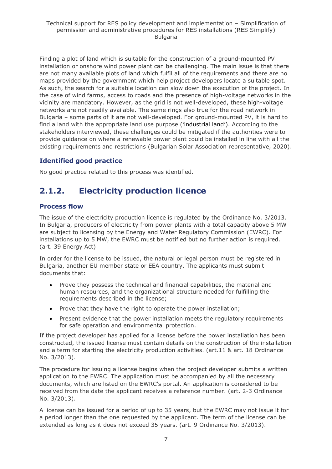Finding a plot of land which is suitable for the construction of a ground-mounted PV installation or onshore wind power plant can be challenging. The main issue is that there are not many available plots of land which fulfil all of the requirements and there are no maps provided by the government which help project developers locate a suitable spot. As such, the search for a suitable location can slow down the execution of the project. In the case of wind farms, access to roads and the presence of high-voltage networks in the vicinity are mandatory. However, as the grid is not well-developed, these high-voltage networks are not readily available. The same rings also true for the road network in Bulgaria – some parts of it are not well-developed. For ground-mounted PV, it is hard to find a land with the appropriate land use purpose ('industrial land'). According to the stakeholders interviewed, these challenges could be mitigated if the authorities were to provide guidance on where a renewable power plant could be installed in line with all the existing requirements and restrictions (Bulgarian Solar Association representative, 2020).

## **Identified good practice**

No good practice related to this process was identified.

## <span id="page-6-0"></span>**2.1.2. Electricity production licence**

### **Process flow**

The issue of the electricity production licence is regulated by the Ordinance No. 3/2013. In Bulgaria, producers of electricity from power plants with a total capacity above 5 MW are subject to licensing by the Energy and Water Regulatory Commission (EWRC). For installations up to 5 MW, the EWRC must be notified but no further action is required. (art. 39 Energy Act)

In order for the license to be issued, the natural or legal person must be registered in Bulgaria, another EU member state or EEA country. The applicants must submit documents that:

- Prove they possess the technical and financial capabilities, the material and human resources, and the organizational structure needed for fulfilling the requirements described in the license;
- Prove that they have the right to operate the power installation;
- Present evidence that the power installation meets the regulatory requirements for safe operation and environmental protection.

If the project developer has applied for a license before the power installation has been constructed, the issued license must contain details on the construction of the installation and a term for starting the electricity production activities. (art.11 & art. 18 Ordinance No. 3/2013).

The procedure for issuing a license begins when the project developer submits a written application to the EWRC. The application must be accompanied by all the necessary documents, which are listed on the EWRC's portal. An application is considered to be received from the date the applicant receives a reference number. (art. 2-3 Ordinance No. 3/2013).

A license can be issued for a period of up to 35 years, but the EWRC may not issue it for a period longer than the one requested by the applicant. The term of the license can be extended as long as it does not exceed 35 years. (art. 9 Ordinance No. 3/2013).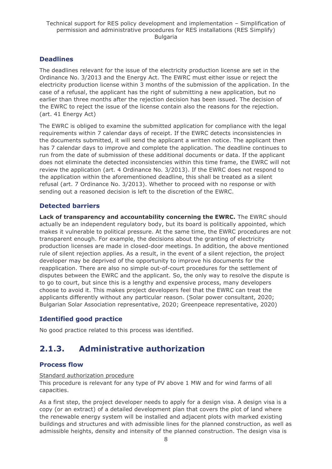## **Deadlines**

The deadlines relevant for the issue of the electricity production license are set in the Ordinance No. 3/2013 and the Energy Act. The EWRC must either issue or reject the electricity production license within 3 months of the submission of the application. In the case of a refusal, the applicant has the right of submitting a new application, but no earlier than three months after the rejection decision has been issued. The decision of the EWRC to reject the issue of the license contain also the reasons for the rejection. (art. 41 Energy Act)

The EWRC is obliged to examine the submitted application for compliance with the legal requirements within 7 calendar days of receipt. If the EWRC detects inconsistencies in the documents submitted, it will send the applicant a written notice. The applicant then has 7 calendar days to improve and complete the application. The deadline continues to run from the date of submission of these additional documents or data. If the applicant does not eliminate the detected inconsistencies within this time frame, the EWRC will not review the application (art. 4 Ordinance No. 3/2013). If the EWRC does not respond to the application within the aforementioned deadline, this shall be treated as a silent refusal (art. 7 Ordinance No. 3/2013). Whether to proceed with no response or with sending out a reasoned decision is left to the discretion of the EWRC.

## **Detected barriers**

**Lack of transparency and accountability concerning the EWRC.** The EWRC should actually be an independent regulatory body, but its board is politically appointed, which makes it vulnerable to political pressure. At the same time, the EWRC procedures are not transparent enough. For example, the decisions about the granting of electricity production licenses are made in closed-door meetings. In addition, the above mentioned rule of silent rejection applies. As a result, in the event of a silent rejection, the project developer may be deprived of the opportunity to improve his documents for the reapplication. There are also no simple out-of-court procedures for the settlement of disputes between the EWRC and the applicant. So, the only way to resolve the dispute is to go to court, but since this is a lengthy and expensive process, many developers choose to avoid it. This makes project developers feel that the EWRC can treat the applicants differently without any particular reason. (Solar power consultant, 2020; Bulgarian Solar Association representative, 2020; Greenpeace representative, 2020)

## **Identified good practice**

No good practice related to this process was identified.

## <span id="page-7-0"></span>**2.1.3. Administrative authorization**

## **Process flow**

#### Standard authorization procedure

This procedure is relevant for any type of PV above 1 MW and for wind farms of all capacities.

As a first step, the project developer needs to apply for a design visa. A design visa is a copy (or an extract) of a detailed development plan that covers the plot of land where the renewable energy system will be installed and adjacent plots with marked existing buildings and structures and with admissible lines for the planned construction, as well as admissible heights, density and intensity of the planned construction. The design visa is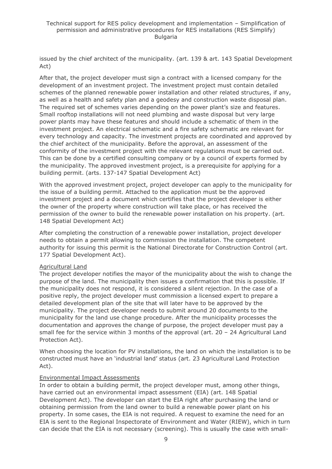issued by the chief architect of the municipality. (art. 139 & art. 143 Spatial Development Act)

After that, the project developer must sign a contract with a licensed company for the development of an investment project. The investment project must contain detailed schemes of the planned renewable power installation and other related structures, if any, as well as a health and safety plan and a geodesy and construction waste disposal plan. The required set of schemes varies depending on the power plant's size and features. Small rooftop installations will not need plumbing and waste disposal but very large power plants may have these features and should include a schematic of them in the investment project. An electrical schematic and a fire safety schematic are relevant for every technology and capacity. The investment projects are coordinated and approved by the chief architect of the municipality. Before the approval, an assessment of the conformity of the investment project with the relevant regulations must be carried out. This can be done by a certified consulting company or by a council of experts formed by the municipality. The approved investment project, is a prerequisite for applying for a building permit. (arts. 137-147 Spatial Development Act)

With the approved investment project, project developer can apply to the municipality for the issue of a building permit. Attached to the application must be the approved investment project and a document which certifies that the project developer is either the owner of the property where construction will take place, or has received the permission of the owner to build the renewable power installation on his property. (art. 148 Spatial Development Act)

After completing the construction of a renewable power installation, project developer needs to obtain a permit allowing to commission the installation. The competent authority for issuing this permit is the National Directorate for Construction Control (art. 177 Spatial Development Act).

#### Agricultural Land

The project developer notifies the mayor of the municipality about the wish to change the purpose of the land. The municipality then issues a confirmation that this is possible. If the municipality does not respond, it is considered a silent rejection. In the case of a positive reply, the project developer must commission a licensed expert to prepare a detailed development plan of the site that will later have to be approved by the municipality. The project developer needs to submit around 20 documents to the municipality for the land use change procedure. After the municipality processes the documentation and approves the change of purpose, the project developer must pay a small fee for the service within 3 months of the approval (art.  $20 - 24$  Agricultural Land Protection Act).

When choosing the location for PV installations, the land on which the installation is to be constructed must have an 'industrial land' status (art. 23 Agricultural Land Protection Act).

#### Environmental Impact Assessments

In order to obtain a building permit, the project developer must, among other things, have carried out an environmental impact assessment (EIA) (art. 148 Spatial Development Act). The developer can start the EIA right after purchasing the land or obtaining permission from the land owner to build a renewable power plant on his property. In some cases, the EIA is not required. A request to examine the need for an EIA is sent to the Regional Inspectorate of Environment and Water (RIEW), which in turn can decide that the EIA is not necessary (screening). This is usually the case with small-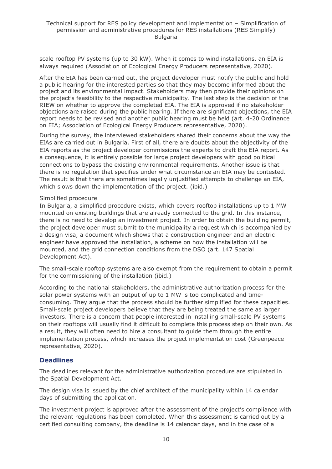scale rooftop PV systems (up to 30 kW). When it comes to wind installations, an EIA is always required (Association of Ecological Energy Producers representative, 2020).

After the EIA has been carried out, the project developer must notify the public and hold a public hearing for the interested parties so that they may become informed about the project and its environmental impact. Stakeholders may then provide their opinions on the project's feasibility to the respective municipality. The last step is the decision of the RIEW on whether to approve the completed EIA. The EIA is approved if no stakeholder objections are raised during the public hearing. If there are significant objections, the EIA report needs to be revised and another public hearing must be held (art. 4-20 Ordinance on EIA; Association of Ecological Energy Producers representative, 2020).

During the survey, the interviewed stakeholders shared their concerns about the way the EIAs are carried out in Bulgaria. First of all, there are doubts about the objectivity of the EIA reports as the project developer commissions the experts to draft the EIA report. As a consequence, it is entirely possible for large project developers with good political connections to bypass the existing environmental requirements. Another issue is that there is no regulation that specifies under what circumstance an EIA may be contested. The result is that there are sometimes legally unjustified attempts to challenge an EIA, which slows down the implementation of the project. (ibid.)

#### Simplified procedure

In Bulgaria, a simplified procedure exists, which covers rooftop installations up to 1 MW mounted on existing buildings that are already connected to the grid. In this instance, there is no need to develop an investment project. In order to obtain the building permit, the project developer must submit to the municipality a request which is accompanied by a design visa, a document which shows that a construction engineer and an electric engineer have approved the installation, a scheme on how the installation will be mounted, and the grid connection conditions from the DSO (art. 147 Spatial Development Act).

The small-scale rooftop systems are also exempt from the requirement to obtain a permit for the commissioning of the installation (ibid.)

According to the national stakeholders, the administrative authorization process for the solar power systems with an output of up to 1 MW is too complicated and timeconsuming. They argue that the process should be further simplified for these capacities. Small-scale project developers believe that they are being treated the same as larger investors. There is a concern that people interested in installing small-scale PV systems on their rooftops will usually find it difficult to complete this process step on their own. As a result, they will often need to hire a consultant to guide them through the entire implementation process, which increases the project implementation cost (Greenpeace representative, 2020).

#### **Deadlines**

The deadlines relevant for the administrative authorization procedure are stipulated in the Spatial Development Act.

The design visa is issued by the chief architect of the municipality within 14 calendar days of submitting the application.

The investment project is approved after the assessment of the project's compliance with the relevant regulations has been completed. When this assessment is carried out by a certified consulting company, the deadline is 14 calendar days, and in the case of a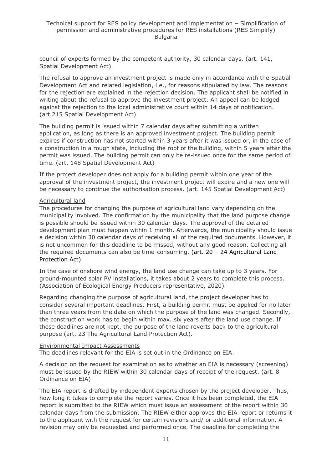council of experts formed by the competent authority, 30 calendar days. (art. 141, Spatial Development Act)

The refusal to approve an investment project is made only in accordance with the Spatial Development Act and related legislation, i.e., for reasons stipulated by law. The reasons for the rejection are explained in the rejection decision. The applicant shall be notified in writing about the refusal to approve the investment project. An appeal can be lodged against the rejection to the local administrative court within 14 days of notification. (art.215 Spatial Development Act)

The building permit is issued within 7 calendar days after submitting a written application, as long as there is an approved investment project. The building permit expires if construction has not started within 3 years after it was issued or, in the case of a construction in a rough state, including the roof of the building, within 5 years after the permit was issued. The building permit can only be re-issued once for the same period of time. (art. 148 Spatial Development Act)

If the project developer does not apply for a building permit within one year of the approval of the investment project, the investment project will expire and a new one will be necessary to continue the authorisation process. (art. 145 Spatial Development Act)

#### Agricultural land

The procedures for changing the purpose of agricultural land vary depending on the municipality involved. The confirmation by the municipality that the land purpose change is possible should be issued within 30 calendar days. The approval of the detailed development plan must happen within 1 month. Afterwards, the municipality should issue a decision within 30 calendar days of receiving all of the required documents. However, it is not uncommon for this deadline to be missed, without any good reason. Collecting all the required documents can also be time-consuming. (art. 20 – 24 Agricultural Land Protection Act).

In the case of onshore wind energy, the land use change can take up to 3 years. For ground-mounted solar PV installations, it takes about 2 years to complete this process. (Association of Ecological Energy Producers representative, 2020)

Regarding changing the purpose of agricultural land, the project developer has to consider several important deadlines. First, a building permit must be applied for no later than three years from the date on which the purpose of the land was changed. Secondly, the construction work has to begin within max. six years after the land use change. If these deadlines are not kept, the purpose of the land reverts back to the agricultural purpose (art. 23 The Agricultural Land Protection Act).

#### Environmental Impact Assessments

The deadlines relevant for the EIA is set out in the Ordinance on EIA.

A decision on the request for examination as to whether an EIA is necessary (screening) must be issued by the RIEW within 30 calendar days of receipt of the request. (art. 8 Ordinance on EIA)

The EIA report is drafted by independent experts chosen by the project developer. Thus, how long it takes to complete the report varies. Once it has been completed, the EIA report is submitted to the RIEW which must issue an assessment of the report within 30 calendar days from the submission. The RIEW either approves the EIA report or returns it to the applicant with the request for certain revisions and/ or additional information. A revision may only be requested and performed once. The deadline for completing the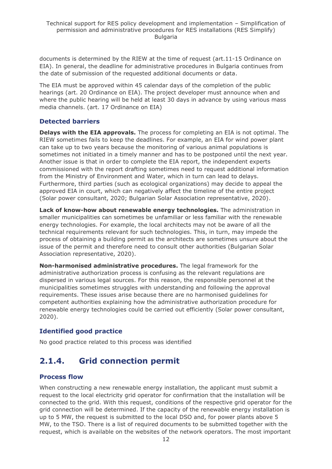documents is determined by the RIEW at the time of request (art.11-15 Ordinance on EIA). In general, the deadline for administrative procedures in Bulgaria continues from the date of submission of the requested additional documents or data.

The EIA must be approved within 45 calendar days of the completion of the public hearings (art. 20 Ordinance on EIA). The project developer must announce when and where the public hearing will be held at least 30 days in advance by using various mass media channels. (art. 17 Ordinance on EIA)

## **Detected barriers**

**Delays with the EIA approvals.** The process for completing an EIA is not optimal. The RIEW sometimes fails to keep the deadlines. For example, an EIA for wind power plant can take up to two years because the monitoring of various animal populations is sometimes not initiated in a timely manner and has to be postponed until the next year. Another issue is that in order to complete the EIA report, the independent experts commissioned with the report drafting sometimes need to request additional information from the Ministry of Environment and Water, which in turn can lead to delays. Furthermore, third parties (such as ecological organizations) may decide to appeal the approved EIA in court, which can negatively affect the timeline of the entire project (Solar power consultant, 2020; Bulgarian Solar Association representative, 2020).

**Lack of know-how about renewable energy technologies.** The administration in smaller municipalities can sometimes be unfamiliar or less familiar with the renewable energy technologies. For example, the local architects may not be aware of all the technical requirements relevant for such technologies. This, in turn, may impede the process of obtaining a building permit as the architects are sometimes unsure about the issue of the permit and therefore need to consult other authorities (Bulgarian Solar Association representative, 2020).

**Non-harmonised administrative procedures.** The legal framework for the administrative authorization process is confusing as the relevant regulations are dispersed in various legal sources. For this reason, the responsible personnel at the municipalities sometimes struggles with understanding and following the approval requirements. These issues arise because there are no harmonised guidelines for competent authorities explaining how the administrative authorization procedure for renewable energy technologies could be carried out efficiently (Solar power consultant, 2020).

## **Identified good practice**

No good practice related to this process was identified

## <span id="page-11-0"></span>**2.1.4. Grid connection permit**

## **Process flow**

When constructing a new renewable energy installation, the applicant must submit a request to the local electricity grid operator for confirmation that the installation will be connected to the grid. With this request, conditions of the respective grid operator for the grid connection will be determined. If the capacity of the renewable energy installation is up to 5 MW, the request is submitted to the local DSO and, for power plants above 5 MW, to the TSO. There is a list of required documents to be submitted together with the request, which is available on the websites of the network operators. The most important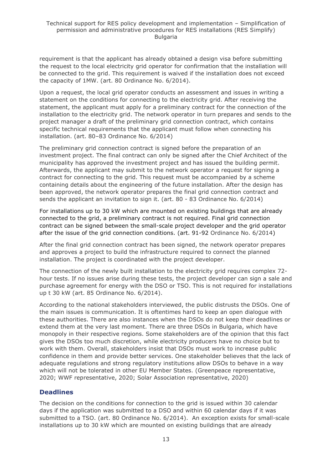requirement is that the applicant has already obtained a design visa before submitting the request to the local electricity grid operator for confirmation that the installation will be connected to the grid. This requirement is waived if the installation does not exceed the capacity of 1MW. (art. 80 Ordinance No. 6/2014).

Upon a request, the local grid operator conducts an assessment and issues in writing a statement on the conditions for connecting to the electricity grid. After receiving the statement, the applicant must apply for a preliminary contract for the connection of the installation to the electricity grid. The network operator in turn prepares and sends to the project manager a draft of the preliminary grid connection contract, which contains specific technical requirements that the applicant must follow when connecting his installation. (art. 80–83 Ordinance No. 6/2014)

The preliminary grid connection contract is signed before the preparation of an investment project. The final contract can only be signed after the Chief Architect of the municipality has approved the investment project and has issued the building permit. Afterwards, the applicant may submit to the network operator a request for signing a contract for connecting to the grid. This request must be accompanied by a scheme containing details about the engineering of the future installation. After the design has been approved, the network operator prepares the final grid connection contract and sends the applicant an invitation to sign it. (art. 80 - 83 Ordinance No. 6/2014)

For installations up to 30 kW which are mounted on existing buildings that are already connected to the grid, a preliminary contract is not required. Final grid connection contract can be signed between the small-scale project developer and the grid operator after the issue of the grid connection conditions. (art. 91-92 Ordinance No. 6/2014)

After the final grid connection contract has been signed, the network operator prepares and approves a project to build the infrastructure required to connect the planned installation. The project is coordinated with the project developer.

The connection of the newly built installation to the electricity grid requires complex 72 hour tests. If no issues arise during these tests, the project developer can sign a sale and purchase agreement for energy with the DSO or TSO. This is not required for installations up t 30 kW (art. 85 Ordinance No. 6/2014).

According to the national stakeholders interviewed, the public distrusts the DSOs. One of the main issues is communication. It is oftentimes hard to keep an open dialogue with these authorities. There are also instances when the DSOs do not keep their deadlines or extend them at the very last moment. There are three DSOs in Bulgaria, which have monopoly in their respective regions. Some stakeholders are of the opinion that this fact gives the DSOs too much discretion, while electricity producers have no choice but to work with them. Overall, stakeholders insist that DSOs must work to increase public confidence in them and provide better services. One stakeholder believes that the lack of adequate regulations and strong regulatory institutions allow DSOs to behave in a way which will not be tolerated in other EU Member States. (Greenpeace representative, 2020; WWF representative, 2020; Solar Association representative, 2020)

### **Deadlines**

The decision on the conditions for connection to the grid is issued within 30 calendar days if the application was submitted to a DSO and within 60 calendar days if it was submitted to a TSO. (art. 80 Ordinance No. 6/2014). An exception exists for small-scale installations up to 30 kW which are mounted on existing buildings that are already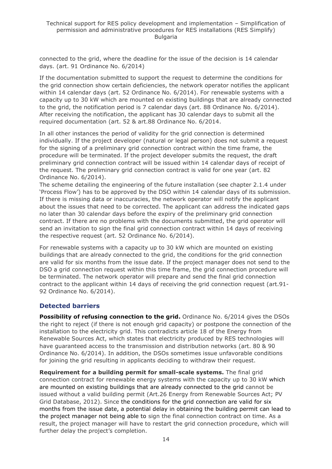connected to the grid, where the deadline for the issue of the decision is 14 calendar days. (art. 91 Ordinance No. 6/2014)

If the documentation submitted to support the request to determine the conditions for the grid connection show certain deficiencies, the network operator notifies the applicant within 14 calendar days (art. 52 Ordinance No. 6/2014). For renewable systems with a capacity up to 30 kW which are mounted on existing buildings that are already connected to the grid, the notification period is 7 calendar days (art. 88 Ordinance No. 6/2014). After receiving the notification, the applicant has 30 calendar days to submit all the required documentation (art. 52 & art.88 Ordinance No. 6/2014.

In all other instances the period of validity for the grid connection is determined individually. If the project developer (natural or legal person) does not submit a request for the signing of a preliminary grid connection contract within the time frame, the procedure will be terminated. If the project developer submits the request, the draft preliminary grid connection contract will be issued within 14 calendar days of receipt of the request. The preliminary grid connection contract is valid for one year (art. 82 Ordinance No. 6/2014).

The scheme detailing the engineering of the future installation (see chapter 2.1.4 under 'Process Flow') has to be approved by the DSO within 14 calendar days of its submission. If there is missing data or inaccuracies, the network operator will notify the applicant about the issues that need to be corrected. The applicant can address the indicated gaps no later than 30 calendar days before the expiry of the preliminary grid connection contract. If there are no problems with the documents submitted, the grid operator will send an invitation to sign the final grid connection contract within 14 days of receiving the respective request (art. 52 Ordinance No. 6/2014).

For renewable systems with a capacity up to 30 kW which are mounted on existing buildings that are already connected to the grid, the conditions for the grid connection are valid for six months from the issue date. If the project manager does not send to the DSO a grid connection request within this time frame, the grid connection procedure will be terminated. The network operator will prepare and send the final grid connection contract to the applicant within 14 days of receiving the grid connection request (art.91- 92 Ordinance No. 6/2014).

### **Detected barriers**

**Possibility of refusing connection to the grid.** Ordinance No. 6/2014 gives the DSOs the right to reject (if there is not enough grid capacity) or postpone the connection of the installation to the electricity grid. This contradicts article 18 of the Energy from Renewable Sources Act, which states that electricity produced by RES technologies will have guaranteed access to the transmission and distribution networks (art. 80 & 90 Ordinance No. 6/2014). In addition, the DSOs sometimes issue unfavorable conditions for joining the grid resulting in applicants deciding to withdraw their request.

**Requirement for a building permit for small-scale systems.** The final grid connection contract for renewable energy systems with the capacity up to 30 kW which are mounted on existing buildings that are already connected to the grid cannot be issued without a valid building permit (Art.26 Energy from Renewable Sources Act; PV Grid Database, 2012). Since the conditions for the grid connection are valid for six months from the issue date, a potential delay in obtaining the building permit can lead to the project manager not being able to sign the final connection contract on time. As a result, the project manager will have to restart the grid connection procedure, which will further delay the project's completion.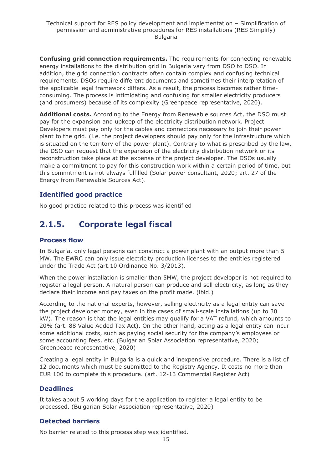**Confusing grid connection requirements.** The requirements for connecting renewable energy installations to the distribution grid in Bulgaria vary from DSO to DSO. In addition, the grid connection contracts often contain complex and confusing technical requirements. DSOs require different documents and sometimes their interpretation of the applicable legal framework differs. As a result, the process becomes rather timeconsuming. The process is intimidating and confusing for smaller electricity producers (and prosumers) because of its complexity (Greenpeace representative, 2020).

**Additional costs.** According to the Energy from Renewable sources Act, the DSO must pay for the expansion and upkeep of the electricity distribution network. Project Developers must pay only for the cables and connectors necessary to join their power plant to the grid. (i.e. the project developers should pay only for the infrastructure which is situated on the territory of the power plant). Contrary to what is prescribed by the law, the DSO can request that the expansion of the electricity distribution network or its reconstruction take place at the expense of the project developer. The DSOs usually make a commitment to pay for this construction work within a certain period of time, but this commitment is not always fulfilled (Solar power consultant, 2020; art. 27 of the Energy from Renewable Sources Act).

### **Identified good practice**

No good practice related to this process was identified

## <span id="page-14-0"></span>**2.1.5. Corporate legal fiscal**

### **Process flow**

In Bulgaria, only legal persons can construct a power plant with an output more than 5 MW. The EWRC can only issue electricity production licenses to the entities registered under the Trade Act (art.10 Ordinance No. 3/2013).

When the power installation is smaller than 5MW, the project developer is not required to register a legal person. A natural person can produce and sell electricity, as long as they declare their income and pay taxes on the profit made. (ibid.)

According to the national experts, however, selling electricity as a legal entity can save the project developer money, even in the cases of small-scale installations (up to 30 kW). The reason is that the legal entities may qualify for a VAT refund, which amounts to 20% (art. 88 Value Added Tax Act). On the other hand, acting as a legal entity can incur some additional costs, such as paying social security for the company's employees or some accounting fees, etc. (Bulgarian Solar Association representative, 2020; Greenpeace representative, 2020)

Creating a legal entity in Bulgaria is a quick and inexpensive procedure. There is a list of 12 documents which must be submitted to the Registry Agency. It costs no more than EUR 100 to complete this procedure. (art. 12-13 Commercial Register Act)

### **Deadlines**

It takes about 5 working days for the application to register a legal entity to be processed. (Bulgarian Solar Association representative, 2020)

### **Detected barriers**

No barrier related to this process step was identified.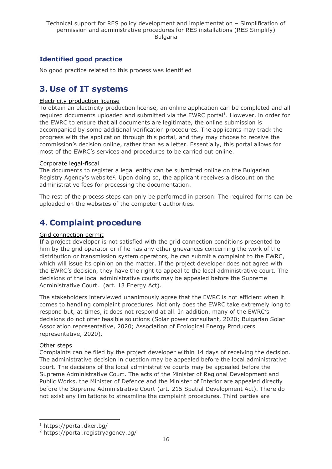## **Identified good practice**

No good practice related to this process was identified

## <span id="page-15-0"></span>**3. Use of IT systems**

#### Electricity production license

To obtain an electricity production license, an online application can be completed and all required documents uploaded and submitted via the EWRC portal<sup>1</sup>. However, in order for the EWRC to ensure that all documents are legitimate, the online submission is accompanied by some additional verification procedures. The applicants may track the progress with the application through this portal, and they may choose to receive the commission's decision online, rather than as a letter. Essentially, this portal allows for most of the EWRC's services and procedures to be carried out online.

#### Corporate legal-fiscal

The documents to register a legal entity can be submitted online on the Bulgarian Registry Agency's website<sup>2</sup>. Upon doing so, the applicant receives a discount on the administrative fees for processing the documentation.

The rest of the process steps can only be performed in person. The required forms can be uploaded on the websites of the competent authorities.

## <span id="page-15-1"></span>**4. Complaint procedure**

#### Grid connection permit

If a project developer is not satisfied with the grid connection conditions presented to him by the grid operator or if he has any other grievances concerning the work of the distribution or transmission system operators, he can submit a complaint to the EWRC, which will issue its opinion on the matter. If the project developer does not agree with the EWRC's decision, they have the right to appeal to the local administrative court. The decisions of the local administrative courts may be appealed before the Supreme Administrative Court. (art. 13 Energy Act).

The stakeholders interviewed unanimously agree that the EWRC is not efficient when it comes to handling complaint procedures. Not only does the EWRC take extremely long to respond but, at times, it does not respond at all. In addition, many of the EWRC's decisions do not offer feasible solutions (Solar power consultant, 2020; Bulgarian Solar Association representative, 2020; Association of Ecological Energy Producers representative, 2020).

#### Other steps

Complaints can be filed by the project developer within 14 days of receiving the decision. The administrative decision in question may be appealed before the local administrative court. The decisions of the local administrative courts may be appealed before the Supreme Administrative Court. The acts of the Minister of Regional Development and Public Works, the Minister of Defence and the Minister of Interior are appealed directly before the Supreme Administrative Court (art. 215 Spatial Development Act). There do not exist any limitations to streamline the complaint procedures. Third parties are

<sup>1</sup> https://portal.dker.bg/

<sup>2</sup> https://portal.registryagency.bg/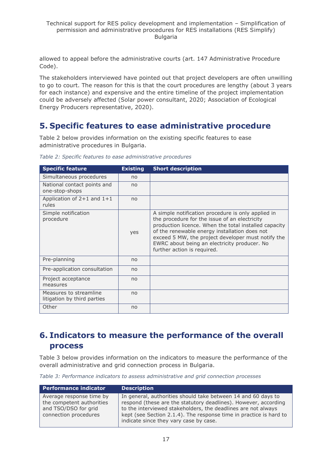allowed to appeal before the administrative courts (art. 147 Administrative Procedure Code).

The stakeholders interviewed have pointed out that project developers are often unwilling to go to court. The reason for this is that the court procedures are lengthy (about 3 years for each instance) and expensive and the entire timeline of the project implementation could be adversely affected (Solar power consultant, 2020; Association of Ecological Energy Producers representative, 2020).

## <span id="page-16-0"></span>**5. Specific features to ease administrative procedure**

Table 2 below provides information on the existing specific features to ease administrative procedures in Bulgaria.

| <b>Specific feature</b>                               | <b>Existing</b> | <b>Short description</b>                                                                                                                                                                                                                                                                                                                           |
|-------------------------------------------------------|-----------------|----------------------------------------------------------------------------------------------------------------------------------------------------------------------------------------------------------------------------------------------------------------------------------------------------------------------------------------------------|
| Simultaneous procedures                               | no              |                                                                                                                                                                                                                                                                                                                                                    |
| National contact points and<br>one-stop-shops         | no              |                                                                                                                                                                                                                                                                                                                                                    |
| Application of $2+1$ and $1+1$<br>rules               | no              |                                                                                                                                                                                                                                                                                                                                                    |
| Simple notification<br>procedure                      | yes             | A simple notification procedure is only applied in<br>the procedure for the issue of an electricity<br>production licence. When the total installed capacity<br>of the renewable energy installation does not<br>exceed 5 MW, the project developer must notify the<br>EWRC about being an electricity producer. No<br>further action is required. |
| Pre-planning                                          | no              |                                                                                                                                                                                                                                                                                                                                                    |
| Pre-application consultation                          | no              |                                                                                                                                                                                                                                                                                                                                                    |
| Project acceptance<br>measures                        | no              |                                                                                                                                                                                                                                                                                                                                                    |
| Measures to streamline<br>litigation by third parties | no              |                                                                                                                                                                                                                                                                                                                                                    |
| Other                                                 | no              |                                                                                                                                                                                                                                                                                                                                                    |

*Table 2: Specific features to ease administrative procedures*

## <span id="page-16-1"></span>**6. Indicators to measure the performance of the overall process**

Table 3 below provides information on the indicators to measure the performance of the overall administrative and grid connection process in Bulgaria.

*Table 3: Performance indicators to assess administrative and grid connection processes*

| <b>Performance indicator</b>                                                                           | <b>Description</b>                                                                                                                                                                                                                                                                                                |
|--------------------------------------------------------------------------------------------------------|-------------------------------------------------------------------------------------------------------------------------------------------------------------------------------------------------------------------------------------------------------------------------------------------------------------------|
| Average response time by<br>the competent authorities<br>and TSO/DSO for grid<br>connection procedures | In general, authorities should take between 14 and 60 days to<br>respond (these are the statutory deadlines). However, according<br>to the interviewed stakeholders, the deadlines are not always<br>kept (see Section 2.1.4). The response time in practice is hard to<br>indicate since they vary case by case. |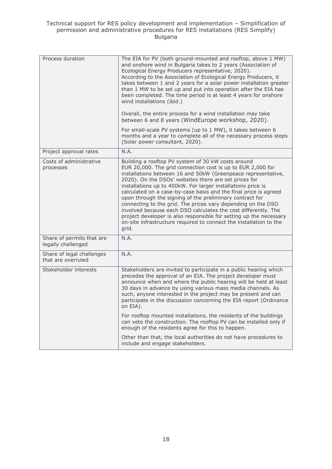| Process duration                                | The EIA for PV (both ground-mounted and rooftop, above 1 MW)<br>and onshore wind in Bulgaria takes to 2 years (Association of<br>Ecological Energy Producers representative, 2020).<br>According to the Association of Ecological Energy Producers, it<br>takes between 1 and 2 years for a solar power installation greater<br>than 1 MW to be set up and put into operation after the EIA has<br>been completed. The time period is at least 4 years for onshore<br>wind installations (ibid.)                                                                                                                                                                                                                                   |
|-------------------------------------------------|------------------------------------------------------------------------------------------------------------------------------------------------------------------------------------------------------------------------------------------------------------------------------------------------------------------------------------------------------------------------------------------------------------------------------------------------------------------------------------------------------------------------------------------------------------------------------------------------------------------------------------------------------------------------------------------------------------------------------------|
|                                                 | Overall, the entire process for a wind installation may take<br>between 6 and 8 years (WindEurope workshop, 2020).                                                                                                                                                                                                                                                                                                                                                                                                                                                                                                                                                                                                                 |
|                                                 | For small-scale PV systems (up to 1 MW), it takes between 6<br>months and a year to complete all of the necessary process steps<br>(Solar power consultant, 2020).                                                                                                                                                                                                                                                                                                                                                                                                                                                                                                                                                                 |
| Project approval rates                          | N.A.                                                                                                                                                                                                                                                                                                                                                                                                                                                                                                                                                                                                                                                                                                                               |
| Costs of administrative<br>processes            | Building a rooftop PV system of 30 kW costs around<br>EUR 20,000. The grid connection cost is up to EUR 2,000 for<br>installations between 16 and 50kW (Greenpeace representative,<br>2020). On the DSOs' websites there are set prices for<br>installations up to 400kW. For larger installations price is<br>calculated on a case-by-case basis and the final price is agreed<br>upon through the signing of the preliminary contract for<br>connecting to the grid. The prices vary depending on the DSO<br>involved because each DSO calculates the cost differently. The<br>project developer is also responsible for setting up the necessary<br>on-site infrastructure required to connect the installation to the<br>grid. |
| Share of permits that are<br>legally challenged | N.A.                                                                                                                                                                                                                                                                                                                                                                                                                                                                                                                                                                                                                                                                                                                               |
| Share of legal challenges<br>that are overruled | N.A.                                                                                                                                                                                                                                                                                                                                                                                                                                                                                                                                                                                                                                                                                                                               |
| Stakeholder interests                           | Stakeholders are invited to participate in a public hearing which<br>precedes the approval of an EIA. The project developer must<br>announce when and where the public hearing will be held at least<br>30 days in advance by using various mass media channels. As<br>such, anyone interested in the project may be present and can<br>participate in the discussion concerning the EIA report (Ordinance<br>on EIA).                                                                                                                                                                                                                                                                                                             |
|                                                 | For rooftop mounted installations, the residents of the buildings<br>can veto the construction. The rooftop PV can be installed only if<br>enough of the residents agree for this to happen.                                                                                                                                                                                                                                                                                                                                                                                                                                                                                                                                       |
|                                                 | Other than that, the local authorities do not have procedures to<br>include and engage stakeholders.                                                                                                                                                                                                                                                                                                                                                                                                                                                                                                                                                                                                                               |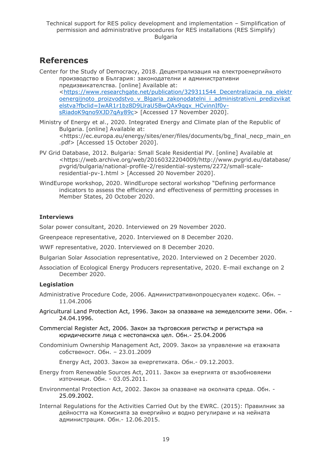## **References**

- Center for the Study of Democracy, 2018. Децентрализация на електроенергийното производство в България: законодателни и административни предизвикателства. [online] Available at: [<https://www.researchgate.net/publication/329311544\\_Decentralizacia\\_na\\_elektr](https://www.researchgate.net/publication/329311544_Decentralizacia_na_elektroenergijnoto_proizvodstvo_v_Blgaria_zakonodatelni_i_administrativni_predizvikatelstva?fbclid=IwAR1r1bz8D9LlraU5BwQAx9qqx_HCvinnIf0v-sRiadoK9qno9XJD7qAy89c) oenergijnoto proizvodstvo v Blgaria zakonodatelni i administrativni predizvikat [elstva?fbclid=IwAR1r1bz8D9LlraU5BwQAx9qqx\\_HCvinnIf0v](https://www.researchgate.net/publication/329311544_Decentralizacia_na_elektroenergijnoto_proizvodstvo_v_Blgaria_zakonodatelni_i_administrativni_predizvikatelstva?fbclid=IwAR1r1bz8D9LlraU5BwQAx9qqx_HCvinnIf0v-sRiadoK9qno9XJD7qAy89c)[sRiadoK9qno9XJD7qAy89c>](https://www.researchgate.net/publication/329311544_Decentralizacia_na_elektroenergijnoto_proizvodstvo_v_Blgaria_zakonodatelni_i_administrativni_predizvikatelstva?fbclid=IwAR1r1bz8D9LlraU5BwQAx9qqx_HCvinnIf0v-sRiadoK9qno9XJD7qAy89c) [Accessed 17 November 2020].
- Ministry of Energy et al., 2020. Integrated Energy and Climate plan of the Republic of Bulgaria. [online] Available at: <https://ec.europa.eu/energy/sites/ener/files/documents/bg\_final\_necp\_main\_en .pdf> [Accessed 15 October 2020].
- PV Grid Database, 2012. Bulgaria: Small Scale Residential PV. [online] Available at <https://web.archive.org/web/20160322204009/http://www.pvgrid.eu/database/ pvgrid/bulgaria/national-profile-2/residential-systems/2272/small-scaleresidential-pv-1.html > [Accessed 20 November 2020].
- WindEurope workshop, 2020. WindEurope sectoral workshop "Defining performance indicators to assess the efficiency and effectiveness of permitting processes in Member States, 20 October 2020.

### **Interviews**

Solar power consultant, 2020. Interviewed on 29 November 2020.

Greenpeace representative, 2020. Interviewed on 8 December 2020.

WWF representative, 2020. Interviewed on 8 December 2020.

Bulgarian Solar Association representative, 2020. Interviewed on 2 December 2020.

Association of Ecological Energy Producers representative, 2020. E-mail exchange on 2 December 2020.

### **Legislation**

Administrative Procedure Code, 2006. Административнопроцесуален кодекс. Обн. – 11.04.2006

- Agricultural Land Protection Act, 1996. Закон за опазване на земеделските земи. Обн. 24.04.1996.
- Commercial Register Act, 2006. Закон за търговския регистър и регистъра на юридическите лица с нестопанска цел. Обн.- 25.04.2006
- Condominium Ownership Management Act, 2009. Закон за управление на етажната собственост. Обн. – 23.01.2009

Energy Act, 2003. Закон за енергетиката. Обн.- 09.12.2003.

- Energy from Renewable Sources Act, 2011. Закон за енергията от възобновяеми източници. Обн. - 03.05.2011.
- Environmental Protection Act, 2002. Закон за опазване на околната среда. Обн. 25.09.2002.
- Internal Regulations for the Activities Carried Out by the EWRC. (2015): Правилник за дейността на Комисията за енергийно и водно регулиране и на нейната администрация. Обн.- 12.06.2015.